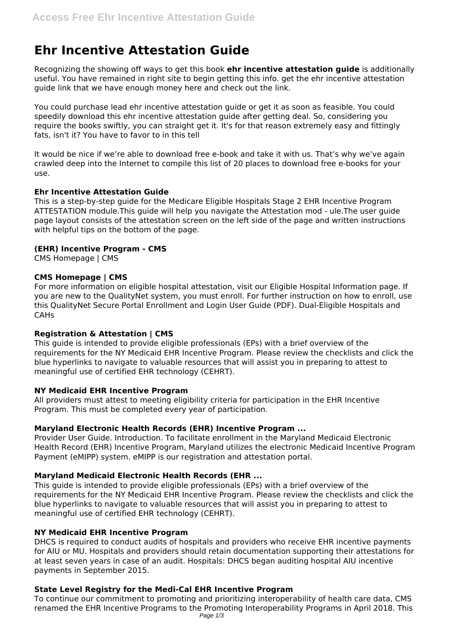# **Ehr Incentive Attestation Guide**

Recognizing the showing off ways to get this book **ehr incentive attestation guide** is additionally useful. You have remained in right site to begin getting this info. get the ehr incentive attestation guide link that we have enough money here and check out the link.

You could purchase lead ehr incentive attestation guide or get it as soon as feasible. You could speedily download this ehr incentive attestation guide after getting deal. So, considering you require the books swiftly, you can straight get it. It's for that reason extremely easy and fittingly fats, isn't it? You have to favor to in this tell

It would be nice if we're able to download free e-book and take it with us. That's why we've again crawled deep into the Internet to compile this list of 20 places to download free e-books for your use.

#### **Ehr Incentive Attestation Guide**

This is a step-by-step guide for the Medicare Eligible Hospitals Stage 2 EHR Incentive Program ATTESTATION module.This guide will help you navigate the Attestation mod - ule.The user guide page layout consists of the attestation screen on the left side of the page and written instructions with helpful tips on the bottom of the page.

# **(EHR) Incentive Program - CMS**

CMS Homepage | CMS

#### **CMS Homepage | CMS**

For more information on eligible hospital attestation, visit our Eligible Hospital Information page. If you are new to the QualityNet system, you must enroll. For further instruction on how to enroll, use this QualityNet Secure Portal Enrollment and Login User Guide (PDF). Dual-Eligible Hospitals and CAHs

# **Registration & Attestation | CMS**

This guide is intended to provide eligible professionals (EPs) with a brief overview of the requirements for the NY Medicaid EHR Incentive Program. Please review the checklists and click the blue hyperlinks to navigate to valuable resources that will assist you in preparing to attest to meaningful use of certified EHR technology (CEHRT).

#### **NY Medicaid EHR Incentive Program**

All providers must attest to meeting eligibility criteria for participation in the EHR Incentive Program. This must be completed every year of participation.

# **Maryland Electronic Health Records (EHR) Incentive Program ...**

Provider User Guide. Introduction. To facilitate enrollment in the Maryland Medicaid Electronic Health Record (EHR) Incentive Program, Maryland utilizes the electronic Medicaid Incentive Program Payment (eMIPP) system. eMIPP is our registration and attestation portal.

# **Maryland Medicaid Electronic Health Records (EHR ...**

This guide is intended to provide eligible professionals (EPs) with a brief overview of the requirements for the NY Medicaid EHR Incentive Program. Please review the checklists and click the blue hyperlinks to navigate to valuable resources that will assist you in preparing to attest to meaningful use of certified EHR technology (CEHRT).

#### **NY Medicaid EHR Incentive Program**

DHCS is required to conduct audits of hospitals and providers who receive EHR incentive payments for AIU or MU. Hospitals and providers should retain documentation supporting their attestations for at least seven years in case of an audit. Hospitals: DHCS began auditing hospital AIU incentive payments in September 2015.

#### **State Level Registry for the Medi-Cal EHR Incentive Program**

To continue our commitment to promoting and prioritizing interoperability of health care data, CMS renamed the EHR Incentive Programs to the Promoting Interoperability Programs in April 2018. This Page 1/3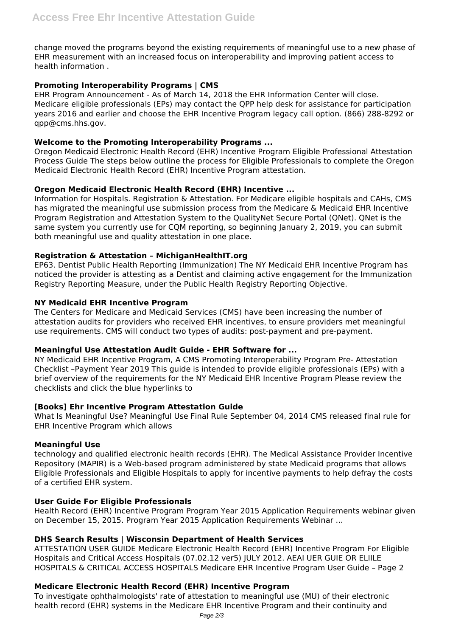change moved the programs beyond the existing requirements of meaningful use to a new phase of EHR measurement with an increased focus on interoperability and improving patient access to health information .

# **Promoting Interoperability Programs | CMS**

EHR Program Announcement - As of March 14, 2018 the EHR Information Center will close. Medicare eligible professionals (EPs) may contact the QPP help desk for assistance for participation years 2016 and earlier and choose the EHR Incentive Program legacy call option. (866) 288-8292 or qpp@cms.hhs.gov.

# **Welcome to the Promoting Interoperability Programs ...**

Oregon Medicaid Electronic Health Record (EHR) Incentive Program Eligible Professional Attestation Process Guide The steps below outline the process for Eligible Professionals to complete the Oregon Medicaid Electronic Health Record (EHR) Incentive Program attestation.

# **Oregon Medicaid Electronic Health Record (EHR) Incentive ...**

Information for Hospitals. Registration & Attestation. For Medicare eligible hospitals and CAHs, CMS has migrated the meaningful use submission process from the Medicare & Medicaid EHR Incentive Program Registration and Attestation System to the QualityNet Secure Portal (QNet). QNet is the same system you currently use for CQM reporting, so beginning January 2, 2019, you can submit both meaningful use and quality attestation in one place.

# **Registration & Attestation – MichiganHealthIT.org**

EP63. Dentist Public Health Reporting (Immunization) The NY Medicaid EHR Incentive Program has noticed the provider is attesting as a Dentist and claiming active engagement for the Immunization Registry Reporting Measure, under the Public Health Registry Reporting Objective.

# **NY Medicaid EHR Incentive Program**

The Centers for Medicare and Medicaid Services (CMS) have been increasing the number of attestation audits for providers who received EHR incentives, to ensure providers met meaningful use requirements. CMS will conduct two types of audits: post-payment and pre-payment.

# **Meaningful Use Attestation Audit Guide - EHR Software for ...**

NY Medicaid EHR Incentive Program, A CMS Promoting Interoperability Program Pre- Attestation Checklist –Payment Year 2019 This guide is intended to provide eligible professionals (EPs) with a brief overview of the requirements for the NY Medicaid EHR Incentive Program Please review the checklists and click the blue hyperlinks to

# **[Books] Ehr Incentive Program Attestation Guide**

What Is Meaningful Use? Meaningful Use Final Rule September 04, 2014 CMS released final rule for EHR Incentive Program which allows

# **Meaningful Use**

technology and qualified electronic health records (EHR). The Medical Assistance Provider Incentive Repository (MAPIR) is a Web-based program administered by state Medicaid programs that allows Eligible Professionals and Eligible Hospitals to apply for incentive payments to help defray the costs of a certified EHR system.

# **User Guide For Eligible Professionals**

Health Record (EHR) Incentive Program Program Year 2015 Application Requirements webinar given on December 15, 2015. Program Year 2015 Application Requirements Webinar ...

# **DHS Search Results | Wisconsin Department of Health Services**

ATTESTATION USER GUIDE Medicare Electronic Health Record (EHR) Incentive Program For Eligible Hospitals and Critical Access Hospitals (07.02.12 ver5) JULY 2012. AEAI UER GUIE OR ELIILE HOSPITALS & CRITICAL ACCESS HOSPITALS Medicare EHR Incentive Program User Guide – Page 2

# **Medicare Electronic Health Record (EHR) Incentive Program**

To investigate ophthalmologists' rate of attestation to meaningful use (MU) of their electronic health record (EHR) systems in the Medicare EHR Incentive Program and their continuity and